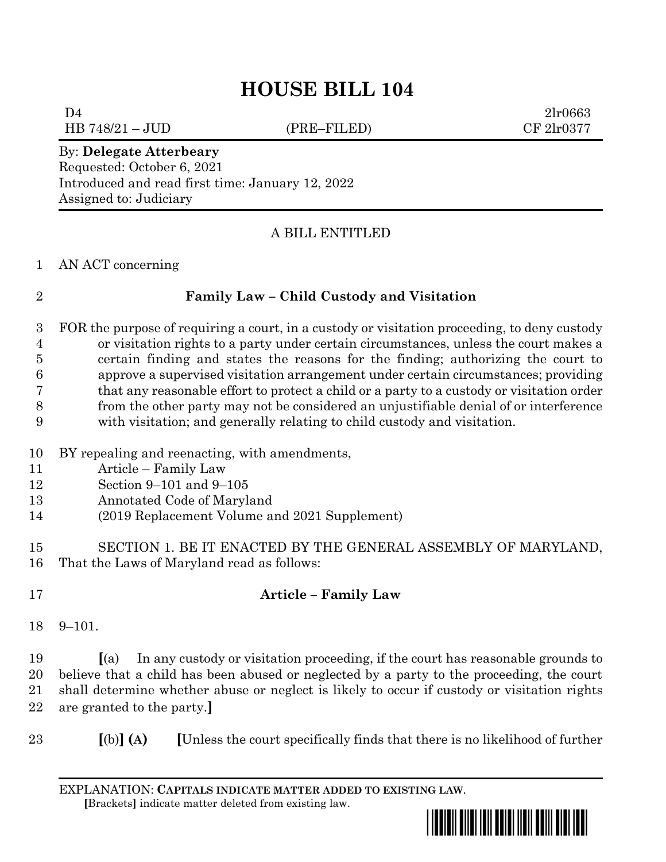# **HOUSE BILL 104**

 $D4$   $2lr0663$ 

HB 748/21 – JUD (PRE–FILED) CF 2lr0377

### By: **Delegate Atterbeary** Requested: October 6, 2021 Introduced and read first time: January 12, 2022 Assigned to: Judiciary

# A BILL ENTITLED

### AN ACT concerning

# **Family Law – Child Custody and Visitation**

 FOR the purpose of requiring a court, in a custody or visitation proceeding, to deny custody or visitation rights to a party under certain circumstances, unless the court makes a certain finding and states the reasons for the finding; authorizing the court to approve a supervised visitation arrangement under certain circumstances; providing that any reasonable effort to protect a child or a party to a custody or visitation order from the other party may not be considered an unjustifiable denial of or interference with visitation; and generally relating to child custody and visitation.

- BY repealing and reenacting, with amendments,
- Article Family Law
- Section 9–101 and 9–105
- Annotated Code of Maryland
- (2019 Replacement Volume and 2021 Supplement)
- SECTION 1. BE IT ENACTED BY THE GENERAL ASSEMBLY OF MARYLAND, That the Laws of Maryland read as follows:
- 

# **Article – Family Law**

9–101.

 **[**(a) In any custody or visitation proceeding, if the court has reasonable grounds to believe that a child has been abused or neglected by a party to the proceeding, the court shall determine whether abuse or neglect is likely to occur if custody or visitation rights are granted to the party.**]**

**[**(b)**] (A) [**Unless the court specifically finds that there is no likelihood of further

EXPLANATION: **CAPITALS INDICATE MATTER ADDED TO EXISTING LAW**.  **[**Brackets**]** indicate matter deleted from existing law.

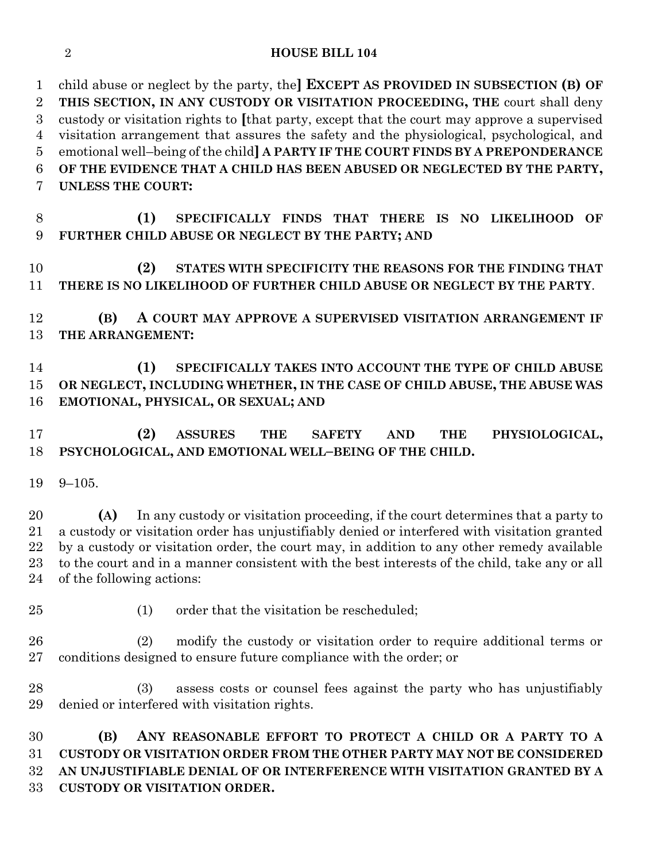### **HOUSE BILL 104**

 child abuse or neglect by the party, the**] EXCEPT AS PROVIDED IN SUBSECTION (B) OF THIS SECTION, IN ANY CUSTODY OR VISITATION PROCEEDING, THE** court shall deny custody or visitation rights to **[**that party, except that the court may approve a supervised visitation arrangement that assures the safety and the physiological, psychological, and emotional well–being of the child**] A PARTY IF THE COURT FINDS BY A PREPONDERANCE OF THE EVIDENCE THAT A CHILD HAS BEEN ABUSED OR NEGLECTED BY THE PARTY, UNLESS THE COURT:**

 **(1) SPECIFICALLY FINDS THAT THERE IS NO LIKELIHOOD OF FURTHER CHILD ABUSE OR NEGLECT BY THE PARTY; AND**

 **(2) STATES WITH SPECIFICITY THE REASONS FOR THE FINDING THAT THERE IS NO LIKELIHOOD OF FURTHER CHILD ABUSE OR NEGLECT BY THE PARTY**.

 **(B) A COURT MAY APPROVE A SUPERVISED VISITATION ARRANGEMENT IF THE ARRANGEMENT:**

 **(1) SPECIFICALLY TAKES INTO ACCOUNT THE TYPE OF CHILD ABUSE OR NEGLECT, INCLUDING WHETHER, IN THE CASE OF CHILD ABUSE, THE ABUSE WAS EMOTIONAL, PHYSICAL, OR SEXUAL; AND** 

### **(2) ASSURES THE SAFETY AND THE PHYSIOLOGICAL, PSYCHOLOGICAL, AND EMOTIONAL WELL–BEING OF THE CHILD.**

9–105.

 **(A)** In any custody or visitation proceeding, if the court determines that a party to a custody or visitation order has unjustifiably denied or interfered with visitation granted by a custody or visitation order, the court may, in addition to any other remedy available to the court and in a manner consistent with the best interests of the child, take any or all of the following actions:

25 (1) order that the visitation be rescheduled;

 (2) modify the custody or visitation order to require additional terms or conditions designed to ensure future compliance with the order; or

 (3) assess costs or counsel fees against the party who has unjustifiably denied or interfered with visitation rights.

 **(B) ANY REASONABLE EFFORT TO PROTECT A CHILD OR A PARTY TO A CUSTODY OR VISITATION ORDER FROM THE OTHER PARTY MAY NOT BE CONSIDERED AN UNJUSTIFIABLE DENIAL OF OR INTERFERENCE WITH VISITATION GRANTED BY A CUSTODY OR VISITATION ORDER.**